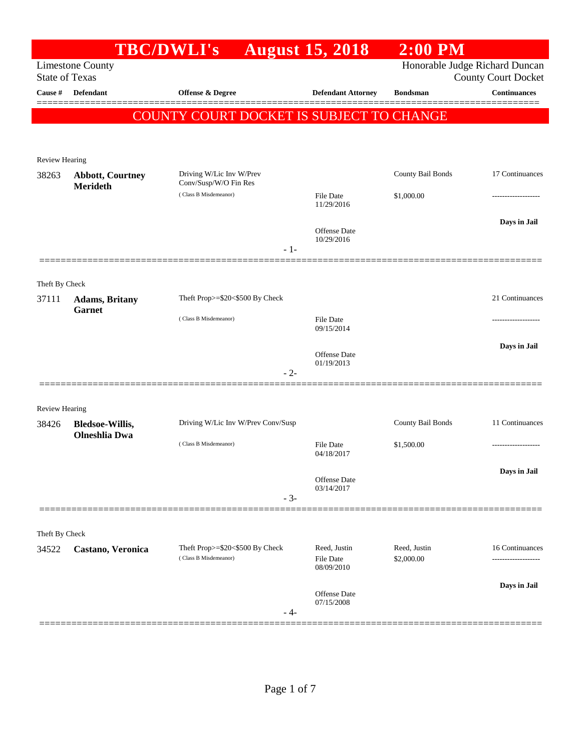|                       |                                                | TBC/DWLI's August 15, 2018                     |       |                                   | $2:00$ PM         |                                                              |
|-----------------------|------------------------------------------------|------------------------------------------------|-------|-----------------------------------|-------------------|--------------------------------------------------------------|
| <b>State of Texas</b> | <b>Limestone County</b>                        |                                                |       |                                   |                   | Honorable Judge Richard Duncan<br><b>County Court Docket</b> |
| Cause #               | <b>Defendant</b>                               | <b>Offense &amp; Degree</b>                    |       | <b>Defendant Attorney</b>         | <b>Bondsman</b>   | <b>Continuances</b>                                          |
|                       |                                                | COUNTY COURT DOCKET IS SUBJECT TO CHANGE       |       |                                   |                   |                                                              |
|                       |                                                |                                                |       |                                   |                   |                                                              |
| <b>Review Hearing</b> |                                                |                                                |       |                                   |                   |                                                              |
| 38263                 | <b>Abbott, Courtney</b>                        | Driving W/Lic Inv W/Prev                       |       |                                   | County Bail Bonds | 17 Continuances                                              |
|                       | <b>Merideth</b>                                | Conv/Susp/W/O Fin Res<br>(Class B Misdemeanor) |       | File Date                         | \$1,000.00        |                                                              |
|                       |                                                |                                                |       | 11/29/2016                        |                   |                                                              |
|                       |                                                |                                                |       | Offense Date                      |                   | Days in Jail                                                 |
|                       |                                                |                                                | $-1-$ | 10/29/2016                        |                   |                                                              |
|                       |                                                |                                                |       |                                   |                   |                                                              |
| Theft By Check        |                                                |                                                |       |                                   |                   |                                                              |
| 37111                 | <b>Adams</b> , Britany<br><b>Garnet</b>        | Theft Prop>=\$20<\$500 By Check                |       |                                   |                   | 21 Continuances                                              |
|                       |                                                | (Class B Misdemeanor)                          |       | File Date<br>09/15/2014           |                   |                                                              |
|                       |                                                |                                                |       |                                   |                   | Days in Jail                                                 |
|                       |                                                |                                                |       | <b>Offense</b> Date<br>01/19/2013 |                   |                                                              |
|                       |                                                |                                                | $-2-$ |                                   |                   |                                                              |
|                       |                                                |                                                |       |                                   |                   |                                                              |
| <b>Review Hearing</b> |                                                | Driving W/Lic Inv W/Prev Conv/Susp             |       |                                   | County Bail Bonds | 11 Continuances                                              |
| 38426                 | <b>Bledsoe-Willis,</b><br><b>Olneshlia Dwa</b> |                                                |       |                                   |                   |                                                              |
|                       |                                                | (Class B Misdemeanor)                          |       | File Date<br>04/18/2017           | \$1,500.00        | ----------------                                             |
|                       |                                                |                                                |       |                                   |                   | Days in Jail                                                 |
|                       |                                                |                                                |       | Offense Date<br>03/14/2017        |                   |                                                              |
|                       |                                                |                                                | $-3-$ |                                   |                   |                                                              |
| Theft By Check        |                                                |                                                |       |                                   |                   |                                                              |
| 34522                 | Castano, Veronica                              | Theft Prop>=\$20<\$500 By Check                |       | Reed, Justin                      | Reed, Justin      | 16 Continuances                                              |
|                       |                                                | (Class B Misdemeanor)                          |       | File Date<br>08/09/2010           | \$2,000.00        | -------------------                                          |
|                       |                                                |                                                |       |                                   |                   | Days in Jail                                                 |
|                       |                                                |                                                |       | <b>Offense</b> Date<br>07/15/2008 |                   |                                                              |
|                       |                                                |                                                | - 4-  |                                   |                   |                                                              |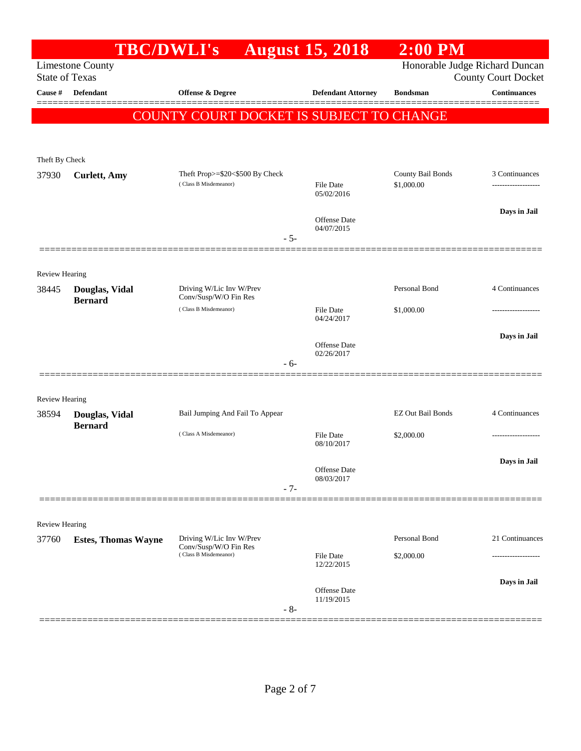|                       | <b>TBC/DWLI's</b>                |                                                          | <b>August 15, 2018</b>         | $2:00$ PM                       |                                |
|-----------------------|----------------------------------|----------------------------------------------------------|--------------------------------|---------------------------------|--------------------------------|
|                       | <b>Limestone County</b>          |                                                          |                                |                                 | Honorable Judge Richard Duncan |
| <b>State of Texas</b> |                                  |                                                          |                                |                                 | <b>County Court Docket</b>     |
| Cause #               | Defendant                        | Offense & Degree                                         | <b>Defendant Attorney</b>      | <b>Bondsman</b>                 | <b>Continuances</b>            |
|                       |                                  | COUNTY COURT DOCKET IS SUBJECT TO CHANGE                 |                                |                                 |                                |
|                       |                                  |                                                          |                                |                                 |                                |
|                       |                                  |                                                          |                                |                                 |                                |
| Theft By Check        |                                  |                                                          |                                |                                 |                                |
| 37930                 | <b>Curlett</b> , Amy             | Theft Prop>=\$20<\$500 By Check<br>(Class B Misdemeanor) | File Date                      | County Bail Bonds<br>\$1,000.00 | 3 Continuances                 |
|                       |                                  |                                                          | 05/02/2016                     |                                 |                                |
|                       |                                  |                                                          | Offense Date                   |                                 | Days in Jail                   |
|                       |                                  |                                                          | 04/07/2015                     |                                 |                                |
|                       |                                  | $-5-$                                                    |                                |                                 |                                |
|                       |                                  |                                                          |                                |                                 |                                |
| <b>Review Hearing</b> |                                  |                                                          |                                | Personal Bond                   | 4 Continuances                 |
| 38445                 | Douglas, Vidal<br><b>Bernard</b> | Driving W/Lic Inv W/Prev<br>Conv/Susp/W/O Fin Res        |                                |                                 |                                |
|                       |                                  | (Class B Misdemeanor)                                    | File Date<br>04/24/2017        | \$1,000.00                      |                                |
|                       |                                  |                                                          |                                |                                 | Days in Jail                   |
|                       |                                  |                                                          | Offense Date                   |                                 |                                |
|                       |                                  | $-6-$                                                    | 02/26/2017                     |                                 |                                |
|                       |                                  |                                                          |                                |                                 |                                |
| <b>Review Hearing</b> |                                  |                                                          |                                |                                 |                                |
| 38594                 | Douglas, Vidal                   | Bail Jumping And Fail To Appear                          |                                | <b>EZ Out Bail Bonds</b>        | 4 Continuances                 |
|                       | <b>Bernard</b>                   | (Class A Misdemeanor)                                    | File Date                      | \$2,000.00                      |                                |
|                       |                                  |                                                          | 08/10/2017                     |                                 |                                |
|                       |                                  |                                                          |                                |                                 | Days in Jail                   |
|                       |                                  |                                                          | Offense Date<br>08/03/2017     |                                 |                                |
|                       |                                  | $-7-$                                                    |                                |                                 |                                |
|                       |                                  |                                                          |                                |                                 |                                |
| Review Hearing        |                                  |                                                          |                                |                                 |                                |
| 37760                 | <b>Estes, Thomas Wayne</b>       | Driving W/Lic Inv W/Prev<br>Conv/Susp/W/O Fin Res        |                                | Personal Bond                   | 21 Continuances                |
|                       |                                  | (Class B Misdemeanor)                                    | <b>File Date</b><br>12/22/2015 | \$2,000.00                      |                                |
|                       |                                  |                                                          |                                |                                 | Days in Jail                   |
|                       |                                  |                                                          | Offense Date<br>11/19/2015     |                                 |                                |
|                       |                                  | $-8-$                                                    |                                |                                 |                                |
|                       |                                  |                                                          |                                |                                 |                                |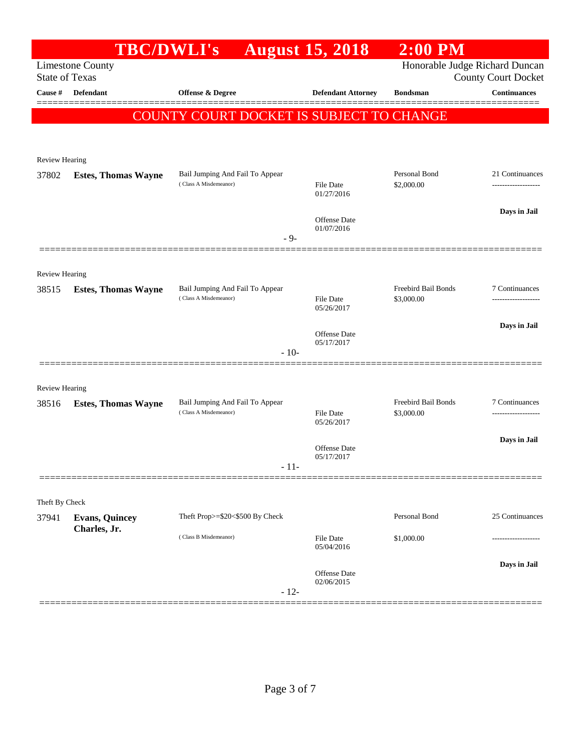|                                | <b>TBC/DWLI's</b>          |                                                          | <b>August 15, 2018</b>         | $2:00$ PM                         |                            |
|--------------------------------|----------------------------|----------------------------------------------------------|--------------------------------|-----------------------------------|----------------------------|
| <b>State of Texas</b>          | <b>Limestone County</b>    |                                                          |                                | Honorable Judge Richard Duncan    | <b>County Court Docket</b> |
| Cause #                        | Defendant                  | <b>Offense &amp; Degree</b>                              | <b>Defendant Attorney</b>      | <b>Bondsman</b>                   | <b>Continuances</b>        |
|                                |                            | COUNTY COURT DOCKET IS SUBJECT TO CHANGE                 |                                |                                   |                            |
|                                |                            |                                                          |                                |                                   |                            |
| Review Hearing                 |                            |                                                          |                                |                                   |                            |
| 37802                          | <b>Estes, Thomas Wayne</b> | Bail Jumping And Fail To Appear                          |                                | Personal Bond                     | 21 Continuances            |
|                                |                            | (Class A Misdemeanor)                                    | <b>File Date</b><br>01/27/2016 | \$2,000.00                        | -----------------          |
|                                |                            |                                                          | Offense Date                   |                                   | Days in Jail               |
|                                |                            | $-9-$                                                    | 01/07/2016                     |                                   |                            |
|                                |                            |                                                          |                                |                                   |                            |
| <b>Review Hearing</b>          |                            |                                                          |                                |                                   |                            |
| 38515                          | <b>Estes, Thomas Wayne</b> | Bail Jumping And Fail To Appear<br>(Class A Misdemeanor) | <b>File Date</b>               | Freebird Bail Bonds<br>\$3,000.00 | 7 Continuances<br>.        |
|                                |                            |                                                          | 05/26/2017                     |                                   |                            |
|                                |                            |                                                          | Offense Date<br>05/17/2017     |                                   | Days in Jail               |
|                                |                            | $-10-$                                                   |                                |                                   |                            |
|                                |                            |                                                          |                                |                                   |                            |
| <b>Review Hearing</b><br>38516 |                            | Bail Jumping And Fail To Appear                          |                                | Freebird Bail Bonds               | 7 Continuances             |
|                                | <b>Estes, Thomas Wayne</b> | (Class A Misdemeanor)                                    | <b>File Date</b><br>05/26/2017 | \$3,000.00                        |                            |
|                                |                            |                                                          |                                |                                   | Days in Jail               |
|                                |                            |                                                          | Offense Date<br>05/17/2017     |                                   |                            |
|                                |                            | - 11-                                                    |                                |                                   |                            |
| Theft By Check                 |                            |                                                          |                                |                                   |                            |
| 37941                          | <b>Evans, Quincey</b>      | Theft Prop>=\$20<\$500 By Check                          |                                | Personal Bond                     | 25 Continuances            |
|                                | Charles, Jr.               | (Class B Misdemeanor)                                    | File Date                      | \$1,000.00                        |                            |
|                                |                            |                                                          | 05/04/2016                     |                                   | Days in Jail               |
|                                |                            |                                                          | Offense Date<br>02/06/2015     |                                   |                            |
|                                |                            | $-12-$                                                   |                                |                                   |                            |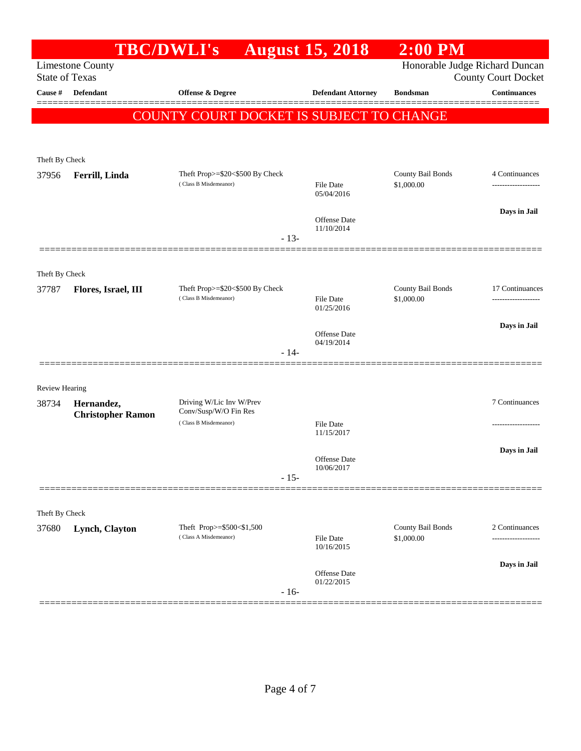|                                                  | <b>TBC/DWLI's</b>        |                                                          |        | <b>August 15, 2018</b>            | $2:00$ PM                       |                                        |
|--------------------------------------------------|--------------------------|----------------------------------------------------------|--------|-----------------------------------|---------------------------------|----------------------------------------|
| <b>Limestone County</b><br><b>State of Texas</b> |                          |                                                          |        | Honorable Judge Richard Duncan    | <b>County Court Docket</b>      |                                        |
| Cause #                                          | <b>Defendant</b>         | <b>Offense &amp; Degree</b>                              |        | <b>Defendant Attorney</b>         | <b>Bondsman</b>                 | <b>Continuances</b>                    |
|                                                  |                          | COUNTY COURT DOCKET IS SUBJECT TO CHANGE                 |        |                                   |                                 |                                        |
|                                                  |                          |                                                          |        |                                   |                                 |                                        |
| Theft By Check                                   |                          |                                                          |        |                                   |                                 |                                        |
| 37956                                            | Ferrill, Linda           | Theft Prop>=\$20<\$500 By Check                          |        |                                   | County Bail Bonds               | 4 Continuances                         |
|                                                  |                          | (Class B Misdemeanor)                                    |        | <b>File Date</b><br>05/04/2016    | \$1,000.00                      |                                        |
|                                                  |                          |                                                          |        | <b>Offense Date</b>               |                                 | Days in Jail                           |
|                                                  |                          |                                                          | $-13-$ | 11/10/2014                        |                                 |                                        |
|                                                  |                          |                                                          |        |                                   |                                 |                                        |
| Theft By Check                                   |                          |                                                          |        |                                   |                                 |                                        |
| 37787                                            | Flores, Israel, III      | Theft Prop>=\$20<\$500 By Check<br>(Class B Misdemeanor) |        | File Date                         | County Bail Bonds<br>\$1,000.00 | 17 Continuances<br>------------------- |
|                                                  |                          |                                                          |        | 01/25/2016                        |                                 |                                        |
|                                                  |                          |                                                          |        | <b>Offense Date</b><br>04/19/2014 |                                 | Days in Jail                           |
|                                                  |                          |                                                          | $-14-$ |                                   |                                 |                                        |
|                                                  |                          |                                                          |        |                                   |                                 |                                        |
| <b>Review Hearing</b><br>38734                   | Hernandez,               | Driving W/Lic Inv W/Prev                                 |        |                                   |                                 | 7 Continuances                         |
|                                                  | <b>Christopher Ramon</b> | Conv/Susp/W/O Fin Res<br>(Class B Misdemeanor)           |        | File Date                         |                                 | ---------------                        |
|                                                  |                          |                                                          |        | 11/15/2017                        |                                 |                                        |
|                                                  |                          |                                                          |        | Offense Date                      |                                 | Days in Jail                           |
|                                                  |                          |                                                          | $-15-$ | 10/06/2017                        |                                 |                                        |
|                                                  |                          |                                                          |        |                                   |                                 |                                        |
| Theft By Check                                   |                          |                                                          |        |                                   |                                 |                                        |
| 37680                                            | Lynch, Clayton           | Theft Prop>=\$500<\$1,500<br>(Class A Misdemeanor)       |        | <b>File Date</b><br>10/16/2015    | County Bail Bonds<br>\$1,000.00 | 2 Continuances<br>.                    |
|                                                  |                          |                                                          |        |                                   |                                 | Days in Jail                           |
|                                                  |                          |                                                          | $-16-$ | <b>Offense Date</b><br>01/22/2015 |                                 |                                        |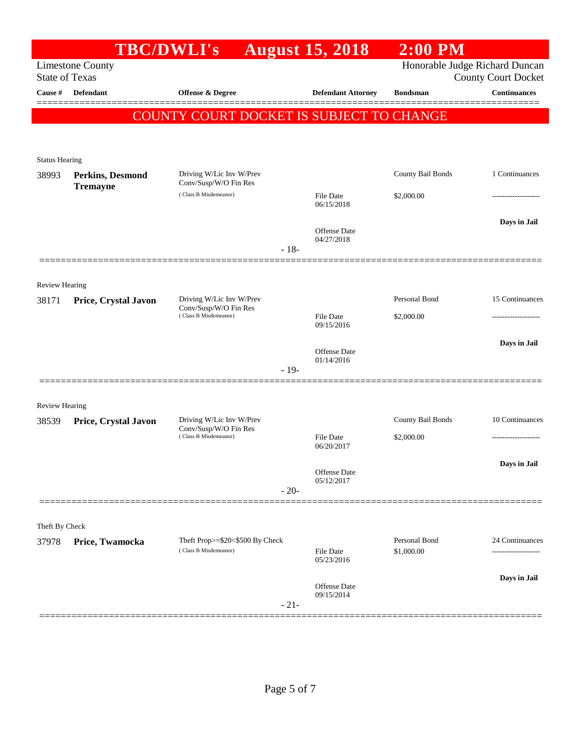|                                |                         | <b>TBC/DWLI's</b>                                        |        | <b>August 15, 2018</b>         | $2:00$ PM                   |                                |
|--------------------------------|-------------------------|----------------------------------------------------------|--------|--------------------------------|-----------------------------|--------------------------------|
|                                | <b>Limestone County</b> |                                                          |        |                                |                             | Honorable Judge Richard Duncan |
| <b>State of Texas</b>          |                         |                                                          |        |                                |                             | <b>County Court Docket</b>     |
| Cause #                        | Defendant               | <b>Offense &amp; Degree</b>                              |        | <b>Defendant Attorney</b>      | <b>Bondsman</b>             | <b>Continuances</b>            |
|                                |                         | COUNTY COURT DOCKET IS SUBJECT TO CHANGE                 |        |                                |                             |                                |
|                                |                         |                                                          |        |                                |                             |                                |
|                                |                         |                                                          |        |                                |                             |                                |
| <b>Status Hearing</b><br>38993 | Perkins, Desmond        | Driving W/Lic Inv W/Prev                                 |        |                                | County Bail Bonds           | 1 Continuances                 |
|                                | <b>Tremayne</b>         | Conv/Susp/W/O Fin Res                                    |        |                                |                             |                                |
|                                |                         | (Class B Misdemeanor)                                    |        | <b>File Date</b><br>06/15/2018 | \$2,000.00                  | .                              |
|                                |                         |                                                          |        |                                |                             | Days in Jail                   |
|                                |                         |                                                          |        | Offense Date<br>04/27/2018     |                             |                                |
|                                |                         |                                                          | $-18-$ |                                |                             |                                |
|                                |                         |                                                          |        |                                |                             |                                |
| <b>Review Hearing</b>          |                         |                                                          |        |                                |                             |                                |
| 38171                          | Price, Crystal Javon    | Driving W/Lic Inv W/Prev<br>Conv/Susp/W/O Fin Res        |        |                                | Personal Bond               | 15 Continuances                |
|                                |                         | (Class B Misdemeanor)                                    |        | File Date<br>09/15/2016        | \$2,000.00                  | --------------                 |
|                                |                         |                                                          |        |                                |                             | Days in Jail                   |
|                                |                         |                                                          |        | Offense Date<br>01/14/2016     |                             |                                |
|                                |                         |                                                          | $-19-$ |                                |                             |                                |
|                                |                         |                                                          |        |                                |                             |                                |
| Review Hearing                 |                         |                                                          |        |                                |                             |                                |
| 38539                          | Price, Crystal Javon    | Driving W/Lic Inv W/Prev<br>Conv/Susp/W/O Fin Res        |        |                                | County Bail Bonds           | 10 Continuances                |
|                                |                         | (Class B Misdemeanor)                                    |        | <b>File Date</b><br>06/20/2017 | \$2,000.00                  |                                |
|                                |                         |                                                          |        |                                |                             | Days in Jail                   |
|                                |                         |                                                          |        | Offense Date<br>05/12/2017     |                             |                                |
|                                |                         |                                                          | $-20-$ |                                |                             |                                |
|                                |                         |                                                          |        |                                |                             |                                |
| Theft By Check                 |                         |                                                          |        |                                |                             |                                |
| 37978                          | Price, Twamocka         | Theft Prop>=\$20<\$500 By Check<br>(Class B Misdemeanor) |        | <b>File Date</b>               | Personal Bond<br>\$1,000.00 | 24 Continuances<br>.           |
|                                |                         |                                                          |        | 05/23/2016                     |                             |                                |
|                                |                         |                                                          |        | <b>Offense Date</b>            |                             | Days in Jail                   |
|                                |                         |                                                          | $-21-$ | 09/15/2014                     |                             |                                |
|                                |                         |                                                          |        |                                |                             |                                |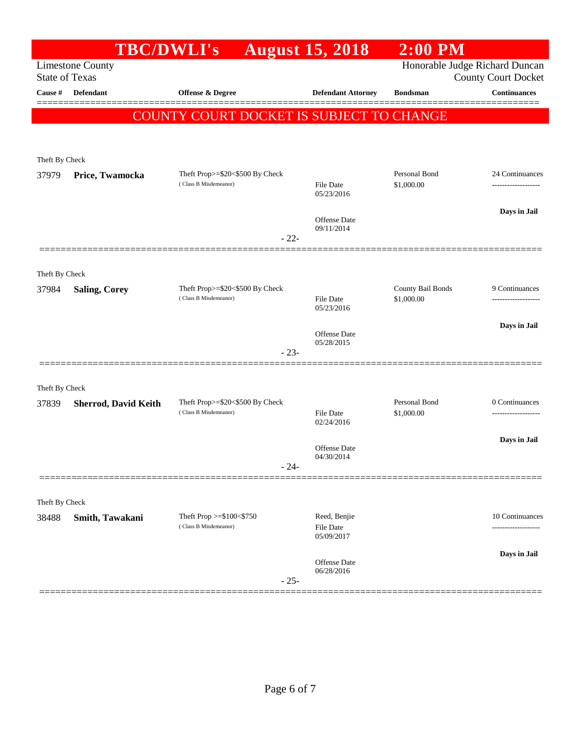|                                                  |                             | <b>TBC/DWLI's</b>                                        | <b>August 15, 2018</b>            | $2:00$ PM                      |                                       |
|--------------------------------------------------|-----------------------------|----------------------------------------------------------|-----------------------------------|--------------------------------|---------------------------------------|
| <b>Limestone County</b><br><b>State of Texas</b> |                             |                                                          |                                   | Honorable Judge Richard Duncan | County Court Docket                   |
| Cause #                                          | Defendant                   | Offense & Degree                                         | <b>Defendant Attorney</b>         | <b>Bondsman</b>                | <b>Continuances</b>                   |
|                                                  |                             | COUNTY COURT DOCKET IS SUBJECT TO CHANGE                 |                                   |                                |                                       |
|                                                  |                             |                                                          |                                   |                                |                                       |
| Theft By Check                                   |                             |                                                          |                                   |                                |                                       |
| 37979                                            | Price, Twamocka             | Theft Prop>=\$20<\$500 By Check                          |                                   | Personal Bond                  | 24 Continuances                       |
|                                                  |                             | (Class B Misdemeanor)                                    | <b>File Date</b><br>05/23/2016    | \$1,000.00                     | -------------------                   |
|                                                  |                             |                                                          |                                   |                                | Days in Jail                          |
|                                                  |                             | $-22-$                                                   | <b>Offense Date</b><br>09/11/2014 |                                |                                       |
|                                                  |                             |                                                          |                                   |                                |                                       |
| Theft By Check                                   |                             |                                                          |                                   |                                |                                       |
| 37984                                            | <b>Saling, Corey</b>        | Theft Prop>=\$20<\$500 By Check                          |                                   | County Bail Bonds              | 9 Continuances                        |
|                                                  |                             | (Class B Misdemeanor)                                    | <b>File Date</b><br>05/23/2016    | \$1,000.00                     | -------------------                   |
|                                                  |                             |                                                          | Offense Date                      |                                | Days in Jail                          |
|                                                  |                             | $-23-$                                                   | 05/28/2015                        |                                |                                       |
|                                                  |                             |                                                          |                                   |                                |                                       |
| Theft By Check                                   |                             |                                                          |                                   |                                |                                       |
| 37839                                            | <b>Sherrod, David Keith</b> | Theft Prop>=\$20<\$500 By Check<br>(Class B Misdemeanor) | <b>File Date</b>                  | Personal Bond<br>\$1,000.00    | 0 Continuances<br>------------------- |
|                                                  |                             |                                                          | 02/24/2016                        |                                |                                       |
|                                                  |                             |                                                          | Offense Date                      |                                | Days in Jail                          |
|                                                  |                             | $-24-$                                                   | 04/30/2014                        |                                |                                       |
|                                                  |                             |                                                          |                                   |                                |                                       |
| Theft By Check                                   |                             |                                                          |                                   |                                |                                       |
| 38488                                            | Smith, Tawakani             | Theft Prop $>= $100 < $750$<br>(Class B Misdemeanor)     | Reed, Benjie<br><b>File Date</b>  |                                | 10 Continuances                       |
|                                                  |                             |                                                          | 05/09/2017                        |                                |                                       |
|                                                  |                             |                                                          | Offense Date                      |                                | Days in Jail                          |
|                                                  |                             | $-25-$                                                   | 06/28/2016                        |                                |                                       |